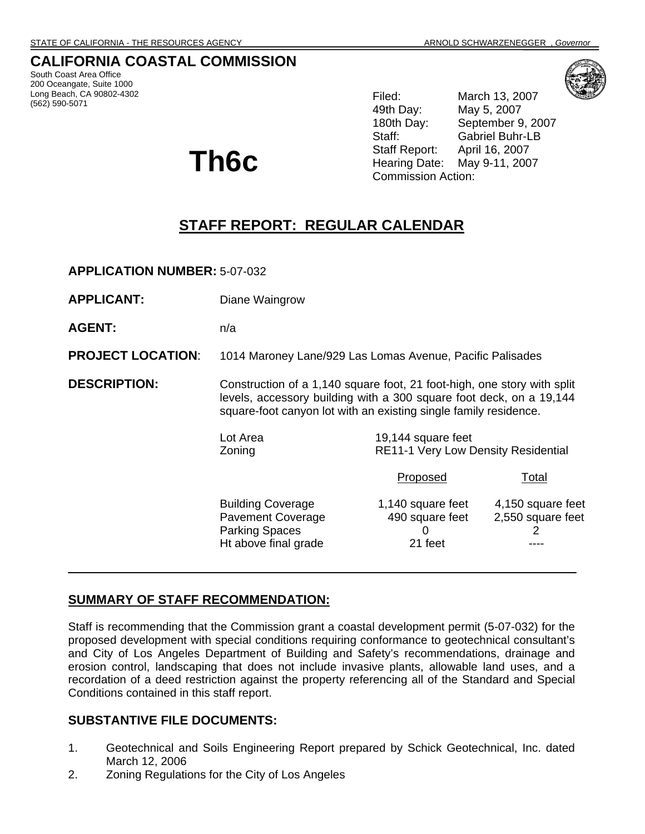# **CALIFORNIA COASTAL COMMISSION**

South Coast Area Office 200 Oceangate, Suite 1000 Long Beach, CA 90802-4302<br>(562) 590-5071

(562) 590-5071 Filed: March 13, 2007 49th Day: May 5, 2007 180th Day: September 9, 2007 Staff: Gabriel Buhr-LB Staff Report: April 16, 2007 Th6c<br>Commission Action:

# **STAFF REPORT: REGULAR CALENDAR**

**APPLICATION NUMBER:** 5-07-032

| <b>APPLICANT:</b>        | Diane Waingrow                                                                                                                                                                                                     |                                                                  |                                             |
|--------------------------|--------------------------------------------------------------------------------------------------------------------------------------------------------------------------------------------------------------------|------------------------------------------------------------------|---------------------------------------------|
| <b>AGENT:</b>            | n/a                                                                                                                                                                                                                |                                                                  |                                             |
| <b>PROJECT LOCATION:</b> | 1014 Maroney Lane/929 Las Lomas Avenue, Pacific Palisades                                                                                                                                                          |                                                                  |                                             |
| <b>DESCRIPTION:</b>      | Construction of a 1,140 square foot, 21 foot-high, one story with split<br>levels, accessory building with a 300 square foot deck, on a 19,144<br>square-foot canyon lot with an existing single family residence. |                                                                  |                                             |
|                          | Lot Area<br>Zoning                                                                                                                                                                                                 | 19,144 square feet<br><b>RE11-1 Very Low Density Residential</b> |                                             |
|                          |                                                                                                                                                                                                                    | Proposed                                                         | Total                                       |
|                          | <b>Building Coverage</b><br><b>Pavement Coverage</b><br><b>Parking Spaces</b><br>Ht above final grade                                                                                                              | 1,140 square feet<br>490 square feet<br>0<br>21 feet             | 4,150 square feet<br>2,550 square feet<br>2 |

### **SUMMARY OF STAFF RECOMMENDATION:**

Staff is recommending that the Commission grant a coastal development permit (5-07-032) for the proposed development with special conditions requiring conformance to geotechnical consultant's and City of Los Angeles Department of Building and Safety's recommendations, drainage and erosion control, landscaping that does not include invasive plants, allowable land uses, and a recordation of a deed restriction against the property referencing all of the Standard and Special Conditions contained in this staff report.

### **SUBSTANTIVE FILE DOCUMENTS:**

- 1. Geotechnical and Soils Engineering Report prepared by Schick Geotechnical, Inc. dated March 12, 2006
- 2. Zoning Regulations for the City of Los Angeles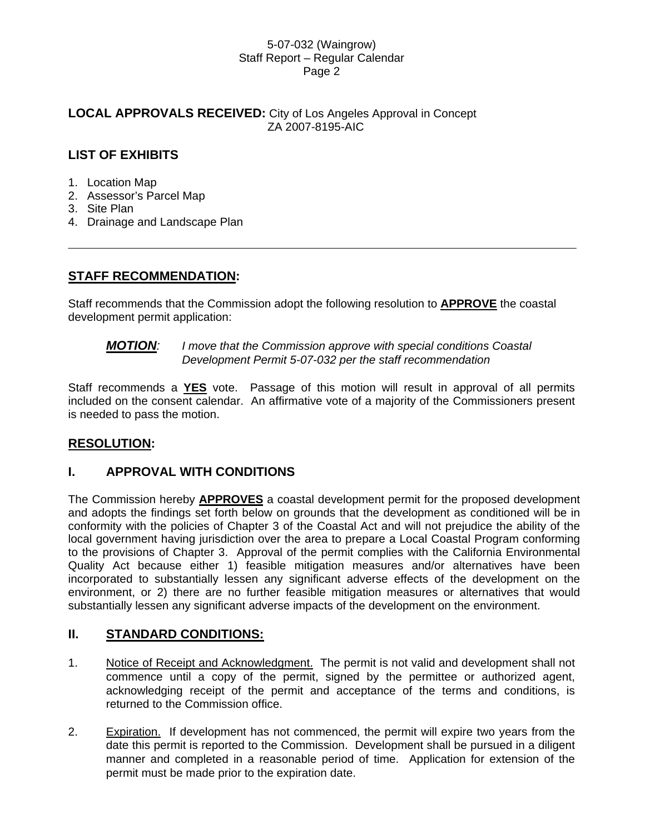### **LOCAL APPROVALS RECEIVED:** City of Los Angeles Approval in Concept ZA 2007-8195-AIC

# **LIST OF EXHIBITS**

- 1. Location Map
- 2. Assessor's Parcel Map
- 3. Site Plan
- 4. Drainage and Landscape Plan

# **STAFF RECOMMENDATION:**

Staff recommends that the Commission adopt the following resolution to **APPROVE** the coastal development permit application:

### *MOTION: I move that the Commission approve with special conditions Coastal Development Permit 5-07-032 per the staff recommendation*

Staff recommends a **YES** vote. Passage of this motion will result in approval of all permits included on the consent calendar. An affirmative vote of a majority of the Commissioners present is needed to pass the motion.

# **RESOLUTION:**

# **I. APPROVAL WITH CONDITIONS**

The Commission hereby **APPROVES** a coastal development permit for the proposed development and adopts the findings set forth below on grounds that the development as conditioned will be in conformity with the policies of Chapter 3 of the Coastal Act and will not prejudice the ability of the local government having jurisdiction over the area to prepare a Local Coastal Program conforming to the provisions of Chapter 3. Approval of the permit complies with the California Environmental Quality Act because either 1) feasible mitigation measures and/or alternatives have been incorporated to substantially lessen any significant adverse effects of the development on the environment, or 2) there are no further feasible mitigation measures or alternatives that would substantially lessen any significant adverse impacts of the development on the environment.

# **II. STANDARD CONDITIONS:**

- 1. Notice of Receipt and Acknowledgment. The permit is not valid and development shall not commence until a copy of the permit, signed by the permittee or authorized agent, acknowledging receipt of the permit and acceptance of the terms and conditions, is returned to the Commission office.
- 2. Expiration. If development has not commenced, the permit will expire two years from the date this permit is reported to the Commission. Development shall be pursued in a diligent manner and completed in a reasonable period of time. Application for extension of the permit must be made prior to the expiration date.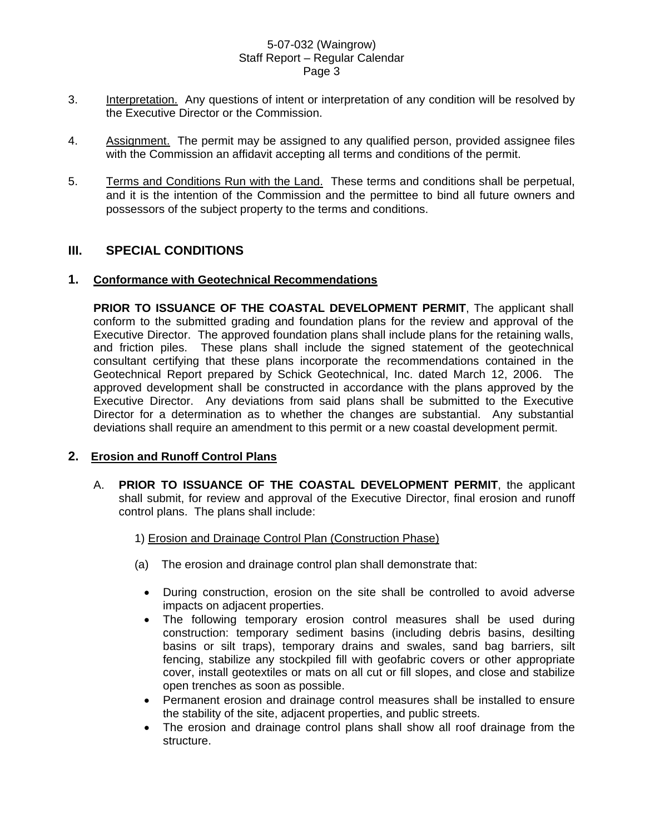- 3. Interpretation. Any questions of intent or interpretation of any condition will be resolved by the Executive Director or the Commission.
- 4. Assignment. The permit may be assigned to any qualified person, provided assignee files with the Commission an affidavit accepting all terms and conditions of the permit.
- 5. Terms and Conditions Run with the Land. These terms and conditions shall be perpetual, and it is the intention of the Commission and the permittee to bind all future owners and possessors of the subject property to the terms and conditions.

# **III. SPECIAL CONDITIONS**

#### **1. Conformance with Geotechnical Recommendations**

**PRIOR TO ISSUANCE OF THE COASTAL DEVELOPMENT PERMIT**, The applicant shall conform to the submitted grading and foundation plans for the review and approval of the Executive Director. The approved foundation plans shall include plans for the retaining walls, and friction piles. These plans shall include the signed statement of the geotechnical consultant certifying that these plans incorporate the recommendations contained in the Geotechnical Report prepared by Schick Geotechnical, Inc. dated March 12, 2006. The approved development shall be constructed in accordance with the plans approved by the Executive Director. Any deviations from said plans shall be submitted to the Executive Director for a determination as to whether the changes are substantial. Any substantial deviations shall require an amendment to this permit or a new coastal development permit.

### **2. Erosion and Runoff Control Plans**

- A. **PRIOR TO ISSUANCE OF THE COASTAL DEVELOPMENT PERMIT**, the applicant shall submit, for review and approval of the Executive Director, final erosion and runoff control plans. The plans shall include:
	- 1) Erosion and Drainage Control Plan (Construction Phase)
	- (a) The erosion and drainage control plan shall demonstrate that:
		- During construction, erosion on the site shall be controlled to avoid adverse impacts on adjacent properties.
		- The following temporary erosion control measures shall be used during construction: temporary sediment basins (including debris basins, desilting basins or silt traps), temporary drains and swales, sand bag barriers, silt fencing, stabilize any stockpiled fill with geofabric covers or other appropriate cover, install geotextiles or mats on all cut or fill slopes, and close and stabilize open trenches as soon as possible.
		- Permanent erosion and drainage control measures shall be installed to ensure the stability of the site, adjacent properties, and public streets.
		- The erosion and drainage control plans shall show all roof drainage from the structure.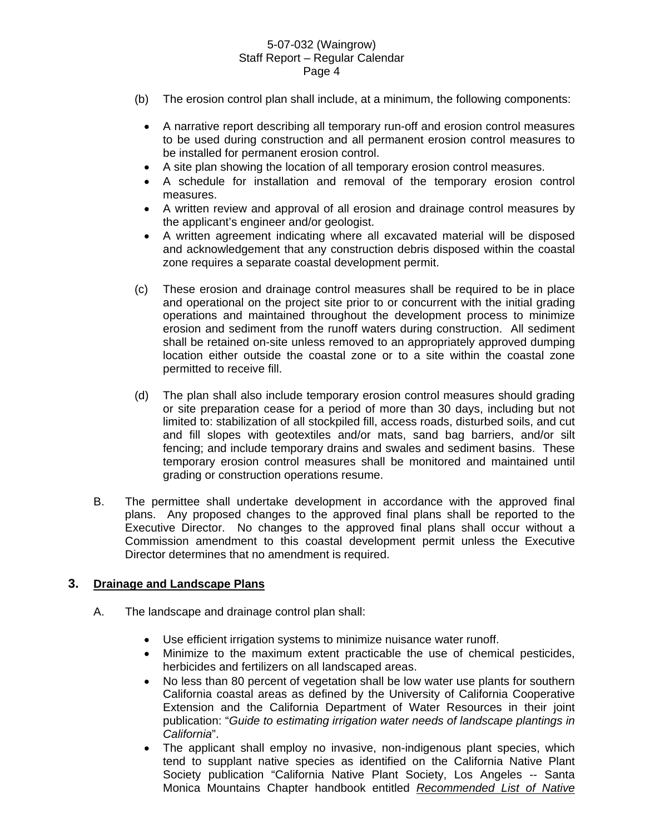- (b) The erosion control plan shall include, at a minimum, the following components:
	- A narrative report describing all temporary run-off and erosion control measures to be used during construction and all permanent erosion control measures to be installed for permanent erosion control.
	- A site plan showing the location of all temporary erosion control measures.
	- A schedule for installation and removal of the temporary erosion control measures.
	- A written review and approval of all erosion and drainage control measures by the applicant's engineer and/or geologist.
	- A written agreement indicating where all excavated material will be disposed and acknowledgement that any construction debris disposed within the coastal zone requires a separate coastal development permit.
- (c) These erosion and drainage control measures shall be required to be in place and operational on the project site prior to or concurrent with the initial grading operations and maintained throughout the development process to minimize erosion and sediment from the runoff waters during construction. All sediment shall be retained on-site unless removed to an appropriately approved dumping location either outside the coastal zone or to a site within the coastal zone permitted to receive fill.
- (d) The plan shall also include temporary erosion control measures should grading or site preparation cease for a period of more than 30 days, including but not limited to: stabilization of all stockpiled fill, access roads, disturbed soils, and cut and fill slopes with geotextiles and/or mats, sand bag barriers, and/or silt fencing; and include temporary drains and swales and sediment basins. These temporary erosion control measures shall be monitored and maintained until grading or construction operations resume.
- B. The permittee shall undertake development in accordance with the approved final plans. Any proposed changes to the approved final plans shall be reported to the Executive Director. No changes to the approved final plans shall occur without a Commission amendment to this coastal development permit unless the Executive Director determines that no amendment is required.

#### **3. Drainage and Landscape Plans**

- A. The landscape and drainage control plan shall:
	- Use efficient irrigation systems to minimize nuisance water runoff.
	- Minimize to the maximum extent practicable the use of chemical pesticides, herbicides and fertilizers on all landscaped areas.
	- No less than 80 percent of vegetation shall be low water use plants for southern California coastal areas as defined by the University of California Cooperative Extension and the California Department of Water Resources in their joint publication: "*Guide to estimating irrigation water needs of landscape plantings in California*".
	- The applicant shall employ no invasive, non-indigenous plant species, which tend to supplant native species as identified on the California Native Plant Society publication "California Native Plant Society, Los Angeles -- Santa Monica Mountains Chapter handbook entitled *Recommended List of Native*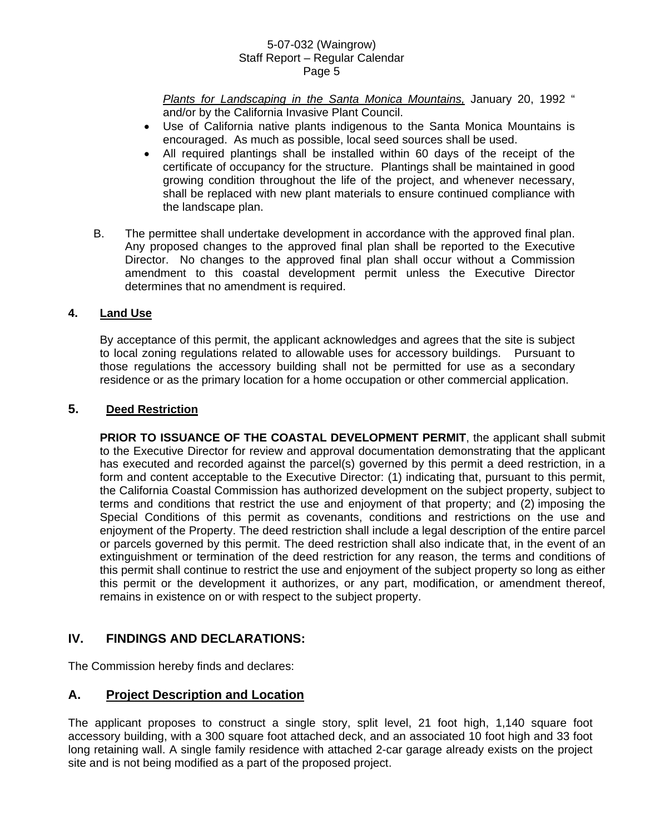*Plants for Landscaping in the Santa Monica Mountains,* January 20, 1992 " and/or by the California Invasive Plant Council.

- Use of California native plants indigenous to the Santa Monica Mountains is encouraged. As much as possible, local seed sources shall be used.
- All required plantings shall be installed within 60 days of the receipt of the certificate of occupancy for the structure. Plantings shall be maintained in good growing condition throughout the life of the project, and whenever necessary, shall be replaced with new plant materials to ensure continued compliance with the landscape plan.
- B. The permittee shall undertake development in accordance with the approved final plan. Any proposed changes to the approved final plan shall be reported to the Executive Director. No changes to the approved final plan shall occur without a Commission amendment to this coastal development permit unless the Executive Director determines that no amendment is required.

### **4. Land Use**

By acceptance of this permit, the applicant acknowledges and agrees that the site is subject to local zoning regulations related to allowable uses for accessory buildings. Pursuant to those regulations the accessory building shall not be permitted for use as a secondary residence or as the primary location for a home occupation or other commercial application.

### **5. Deed Restriction**

**PRIOR TO ISSUANCE OF THE COASTAL DEVELOPMENT PERMIT**, the applicant shall submit to the Executive Director for review and approval documentation demonstrating that the applicant has executed and recorded against the parcel(s) governed by this permit a deed restriction, in a form and content acceptable to the Executive Director: (1) indicating that, pursuant to this permit, the California Coastal Commission has authorized development on the subject property, subject to terms and conditions that restrict the use and enjoyment of that property; and (2) imposing the Special Conditions of this permit as covenants, conditions and restrictions on the use and enjoyment of the Property. The deed restriction shall include a legal description of the entire parcel or parcels governed by this permit. The deed restriction shall also indicate that, in the event of an extinguishment or termination of the deed restriction for any reason, the terms and conditions of this permit shall continue to restrict the use and enjoyment of the subject property so long as either this permit or the development it authorizes, or any part, modification, or amendment thereof, remains in existence on or with respect to the subject property.

# **IV. FINDINGS AND DECLARATIONS:**

The Commission hereby finds and declares:

# **A. Project Description and Location**

The applicant proposes to construct a single story, split level, 21 foot high, 1,140 square foot accessory building, with a 300 square foot attached deck, and an associated 10 foot high and 33 foot long retaining wall. A single family residence with attached 2-car garage already exists on the project site and is not being modified as a part of the proposed project.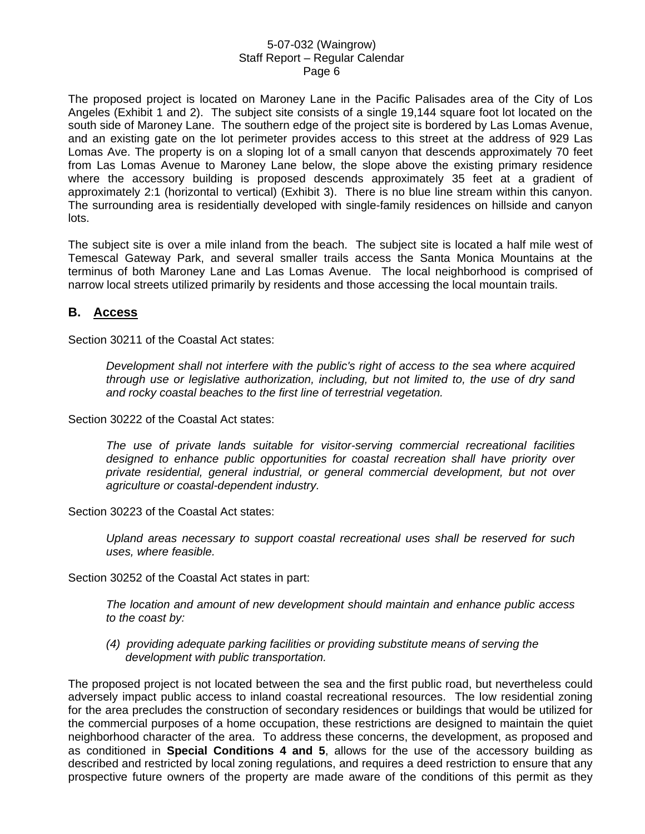The proposed project is located on Maroney Lane in the Pacific Palisades area of the City of Los Angeles (Exhibit 1 and 2). The subject site consists of a single 19,144 square foot lot located on the south side of Maroney Lane. The southern edge of the project site is bordered by Las Lomas Avenue, and an existing gate on the lot perimeter provides access to this street at the address of 929 Las Lomas Ave. The property is on a sloping lot of a small canyon that descends approximately 70 feet from Las Lomas Avenue to Maroney Lane below, the slope above the existing primary residence where the accessory building is proposed descends approximately 35 feet at a gradient of approximately 2:1 (horizontal to vertical) (Exhibit 3). There is no blue line stream within this canyon. The surrounding area is residentially developed with single-family residences on hillside and canyon lots.

The subject site is over a mile inland from the beach. The subject site is located a half mile west of Temescal Gateway Park, and several smaller trails access the Santa Monica Mountains at the terminus of both Maroney Lane and Las Lomas Avenue. The local neighborhood is comprised of narrow local streets utilized primarily by residents and those accessing the local mountain trails.

# **B. Access**

Section 30211 of the Coastal Act states:

*Development shall not interfere with the public's right of access to the sea where acquired through use or legislative authorization, including, but not limited to, the use of dry sand and rocky coastal beaches to the first line of terrestrial vegetation.* 

Section 30222 of the Coastal Act states:

*The use of private lands suitable for visitor-serving commercial recreational facilities designed to enhance public opportunities for coastal recreation shall have priority over private residential, general industrial, or general commercial development, but not over agriculture or coastal-dependent industry.* 

Section 30223 of the Coastal Act states:

*Upland areas necessary to support coastal recreational uses shall be reserved for such uses, where feasible.* 

Section 30252 of the Coastal Act states in part:

*The location and amount of new development should maintain and enhance public access to the coast by:* 

*(4) providing adequate parking facilities or providing substitute means of serving the development with public transportation.* 

The proposed project is not located between the sea and the first public road, but nevertheless could adversely impact public access to inland coastal recreational resources. The low residential zoning for the area precludes the construction of secondary residences or buildings that would be utilized for the commercial purposes of a home occupation, these restrictions are designed to maintain the quiet neighborhood character of the area. To address these concerns, the development, as proposed and as conditioned in **Special Conditions 4 and 5**, allows for the use of the accessory building as described and restricted by local zoning regulations, and requires a deed restriction to ensure that any prospective future owners of the property are made aware of the conditions of this permit as they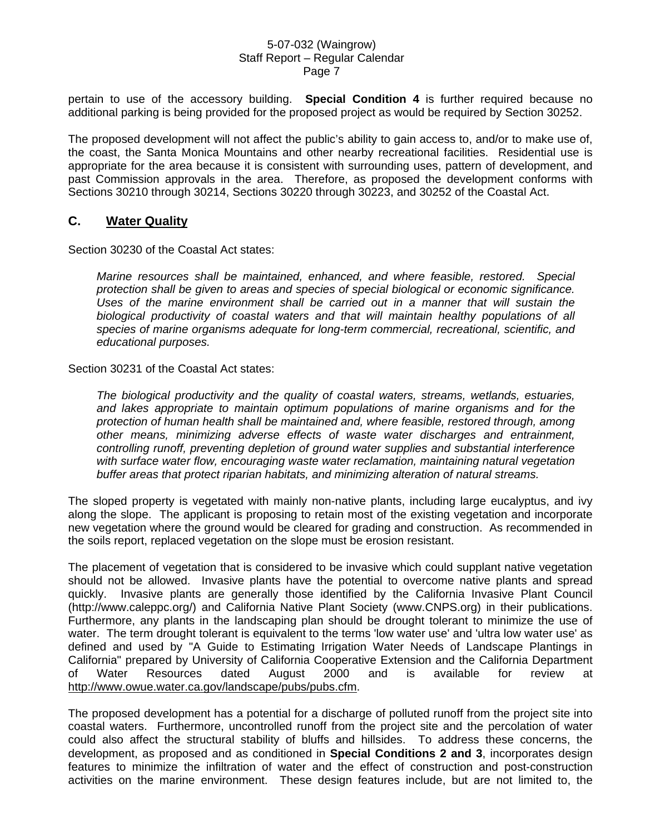pertain to use of the accessory building. **Special Condition 4** is further required because no additional parking is being provided for the proposed project as would be required by Section 30252.

The proposed development will not affect the public's ability to gain access to, and/or to make use of, the coast, the Santa Monica Mountains and other nearby recreational facilities. Residential use is appropriate for the area because it is consistent with surrounding uses, pattern of development, and past Commission approvals in the area. Therefore, as proposed the development conforms with Sections 30210 through 30214, Sections 30220 through 30223, and 30252 of the Coastal Act.

### **C. Water Quality**

Section 30230 of the Coastal Act states:

*Marine resources shall be maintained, enhanced, and where feasible, restored. Special protection shall be given to areas and species of special biological or economic significance. Uses of the marine environment shall be carried out in a manner that will sustain the*  biological productivity of coastal waters and that will maintain healthy populations of all *species of marine organisms adequate for long-term commercial, recreational, scientific, and educational purposes.* 

Section 30231 of the Coastal Act states:

*The biological productivity and the quality of coastal waters, streams, wetlands, estuaries, and lakes appropriate to maintain optimum populations of marine organisms and for the protection of human health shall be maintained and, where feasible, restored through, among other means, minimizing adverse effects of waste water discharges and entrainment, controlling runoff, preventing depletion of ground water supplies and substantial interference with surface water flow, encouraging waste water reclamation, maintaining natural vegetation buffer areas that protect riparian habitats, and minimizing alteration of natural streams.* 

The sloped property is vegetated with mainly non-native plants, including large eucalyptus, and ivy along the slope. The applicant is proposing to retain most of the existing vegetation and incorporate new vegetation where the ground would be cleared for grading and construction. As recommended in the soils report, replaced vegetation on the slope must be erosion resistant.

The placement of vegetation that is considered to be invasive which could supplant native vegetation should not be allowed. Invasive plants have the potential to overcome native plants and spread quickly. Invasive plants are generally those identified by the California Invasive Plant Council (http://www.caleppc.org/) and California Native Plant Society (www.CNPS.org) in their publications. Furthermore, any plants in the landscaping plan should be drought tolerant to minimize the use of water. The term drought tolerant is equivalent to the terms 'low water use' and 'ultra low water use' as defined and used by "A Guide to Estimating Irrigation Water Needs of Landscape Plantings in California" prepared by University of California Cooperative Extension and the California Department of Water Resources dated August 2000 and is available for review at [http://www.owue.water.ca.gov/landscape/pubs/pubs.cfm.](http://www.owue.water.ca.gov/landscape/pubs/pubs.cfm)

The proposed development has a potential for a discharge of polluted runoff from the project site into coastal waters. Furthermore, uncontrolled runoff from the project site and the percolation of water could also affect the structural stability of bluffs and hillsides. To address these concerns, the development, as proposed and as conditioned in **Special Conditions 2 and 3**, incorporates design features to minimize the infiltration of water and the effect of construction and post-construction activities on the marine environment. These design features include, but are not limited to, the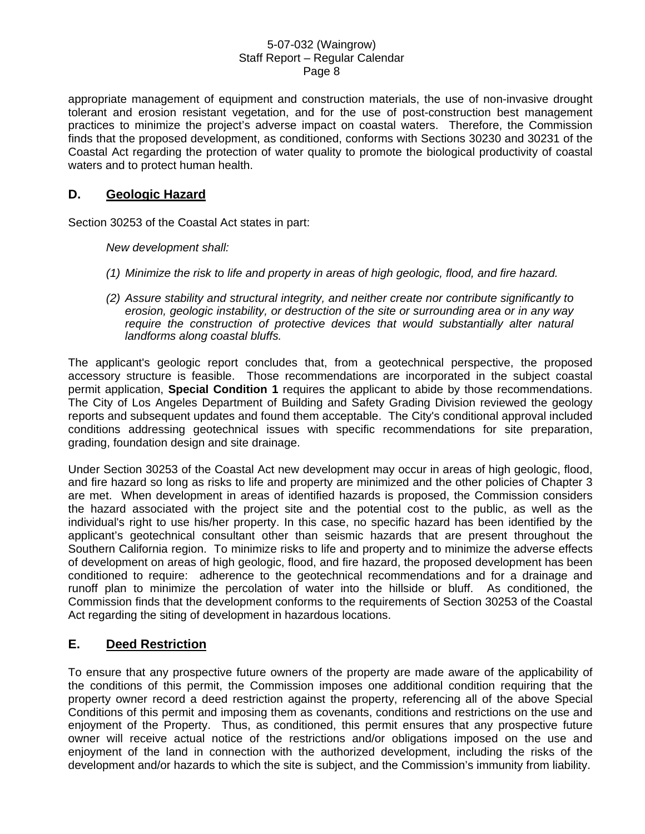appropriate management of equipment and construction materials, the use of non-invasive drought tolerant and erosion resistant vegetation, and for the use of post-construction best management practices to minimize the project's adverse impact on coastal waters. Therefore, the Commission finds that the proposed development, as conditioned, conforms with Sections 30230 and 30231 of the Coastal Act regarding the protection of water quality to promote the biological productivity of coastal waters and to protect human health.

# **D. Geologic Hazard**

Section 30253 of the Coastal Act states in part:

*New development shall:* 

- *(1) Minimize the risk to life and property in areas of high geologic, flood, and fire hazard.*
- *(2) Assure stability and structural integrity, and neither create nor contribute significantly to erosion, geologic instability, or destruction of the site or surrounding area or in any way require the construction of protective devices that would substantially alter natural landforms along coastal bluffs.*

The applicant's geologic report concludes that, from a geotechnical perspective, the proposed accessory structure is feasible. Those recommendations are incorporated in the subject coastal permit application, **Special Condition 1** requires the applicant to abide by those recommendations. The City of Los Angeles Department of Building and Safety Grading Division reviewed the geology reports and subsequent updates and found them acceptable. The City's conditional approval included conditions addressing geotechnical issues with specific recommendations for site preparation, grading, foundation design and site drainage.

Under Section 30253 of the Coastal Act new development may occur in areas of high geologic, flood, and fire hazard so long as risks to life and property are minimized and the other policies of Chapter 3 are met. When development in areas of identified hazards is proposed, the Commission considers the hazard associated with the project site and the potential cost to the public, as well as the individual's right to use his/her property. In this case, no specific hazard has been identified by the applicant's geotechnical consultant other than seismic hazards that are present throughout the Southern California region. To minimize risks to life and property and to minimize the adverse effects of development on areas of high geologic, flood, and fire hazard, the proposed development has been conditioned to require: adherence to the geotechnical recommendations and for a drainage and runoff plan to minimize the percolation of water into the hillside or bluff. As conditioned, the Commission finds that the development conforms to the requirements of Section 30253 of the Coastal Act regarding the siting of development in hazardous locations.

# **E. Deed Restriction**

To ensure that any prospective future owners of the property are made aware of the applicability of the conditions of this permit, the Commission imposes one additional condition requiring that the property owner record a deed restriction against the property, referencing all of the above Special Conditions of this permit and imposing them as covenants, conditions and restrictions on the use and enjoyment of the Property. Thus, as conditioned, this permit ensures that any prospective future owner will receive actual notice of the restrictions and/or obligations imposed on the use and enjoyment of the land in connection with the authorized development, including the risks of the development and/or hazards to which the site is subject, and the Commission's immunity from liability.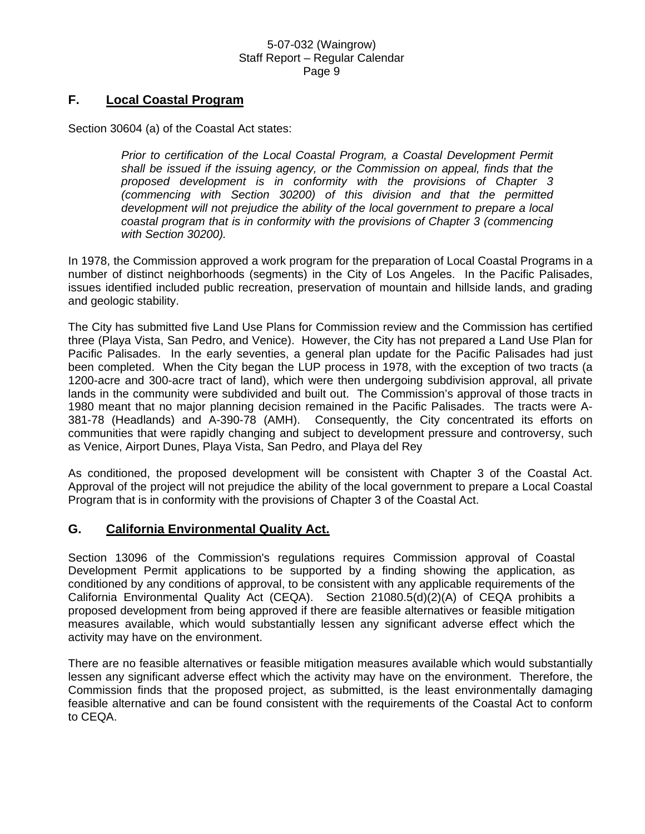# **F. Local Coastal Program**

Section 30604 (a) of the Coastal Act states:

*Prior to certification of the Local Coastal Program, a Coastal Development Permit shall be issued if the issuing agency, or the Commission on appeal, finds that the proposed development is in conformity with the provisions of Chapter 3 (commencing with Section 30200) of this division and that the permitted development will not prejudice the ability of the local government to prepare a local coastal program that is in conformity with the provisions of Chapter 3 (commencing with Section 30200).* 

In 1978, the Commission approved a work program for the preparation of Local Coastal Programs in a number of distinct neighborhoods (segments) in the City of Los Angeles. In the Pacific Palisades, issues identified included public recreation, preservation of mountain and hillside lands, and grading and geologic stability.

The City has submitted five Land Use Plans for Commission review and the Commission has certified three (Playa Vista, San Pedro, and Venice). However, the City has not prepared a Land Use Plan for Pacific Palisades. In the early seventies, a general plan update for the Pacific Palisades had just been completed. When the City began the LUP process in 1978, with the exception of two tracts (a 1200-acre and 300-acre tract of land), which were then undergoing subdivision approval, all private lands in the community were subdivided and built out. The Commission's approval of those tracts in 1980 meant that no major planning decision remained in the Pacific Palisades. The tracts were A-381-78 (Headlands) and A-390-78 (AMH). Consequently, the City concentrated its efforts on communities that were rapidly changing and subject to development pressure and controversy, such as Venice, Airport Dunes, Playa Vista, San Pedro, and Playa del Rey

As conditioned, the proposed development will be consistent with Chapter 3 of the Coastal Act. Approval of the project will not prejudice the ability of the local government to prepare a Local Coastal Program that is in conformity with the provisions of Chapter 3 of the Coastal Act.

# **G. California Environmental Quality Act.**

Section 13096 of the Commission's regulations requires Commission approval of Coastal Development Permit applications to be supported by a finding showing the application, as conditioned by any conditions of approval, to be consistent with any applicable requirements of the California Environmental Quality Act (CEQA). Section 21080.5(d)(2)(A) of CEQA prohibits a proposed development from being approved if there are feasible alternatives or feasible mitigation measures available, which would substantially lessen any significant adverse effect which the activity may have on the environment.

There are no feasible alternatives or feasible mitigation measures available which would substantially lessen any significant adverse effect which the activity may have on the environment. Therefore, the Commission finds that the proposed project, as submitted, is the least environmentally damaging feasible alternative and can be found consistent with the requirements of the Coastal Act to conform to CEQA.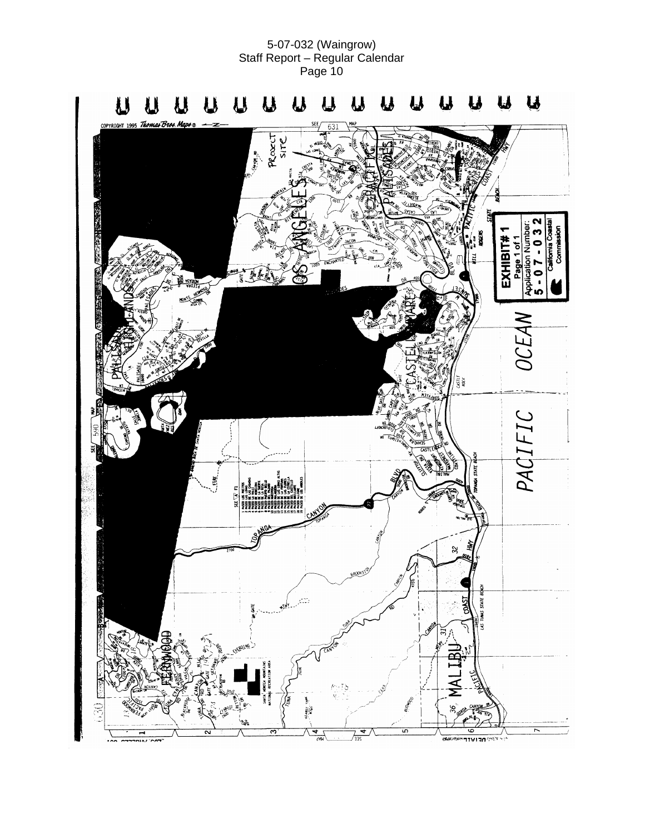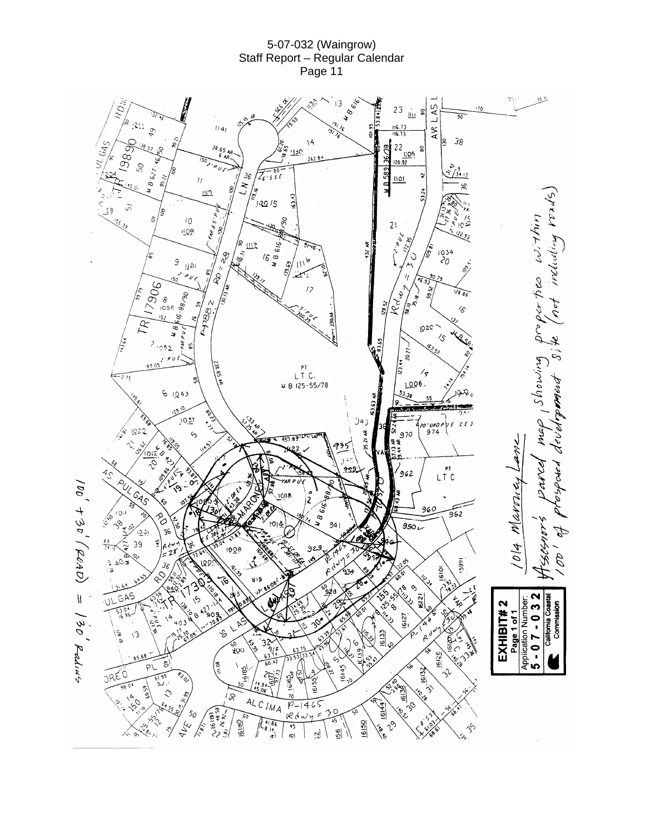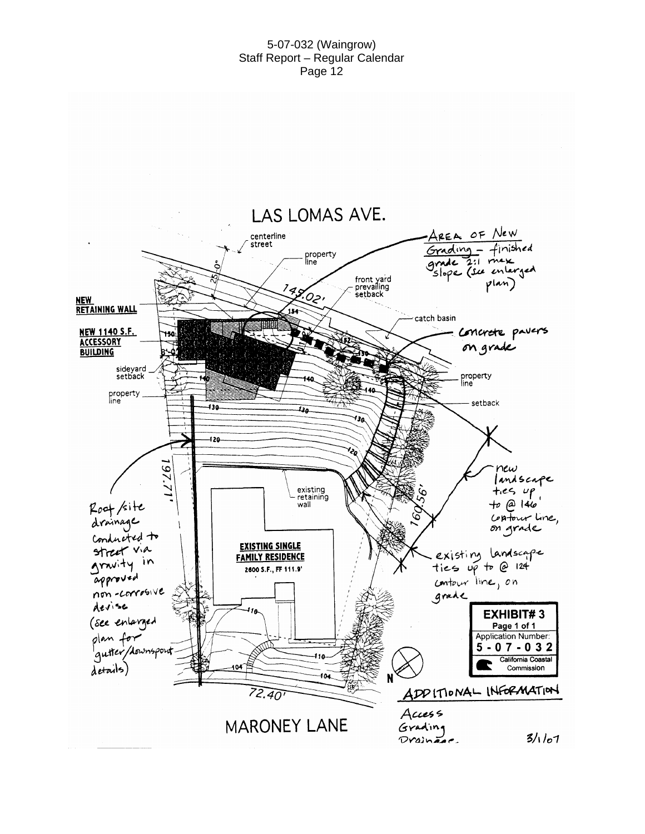